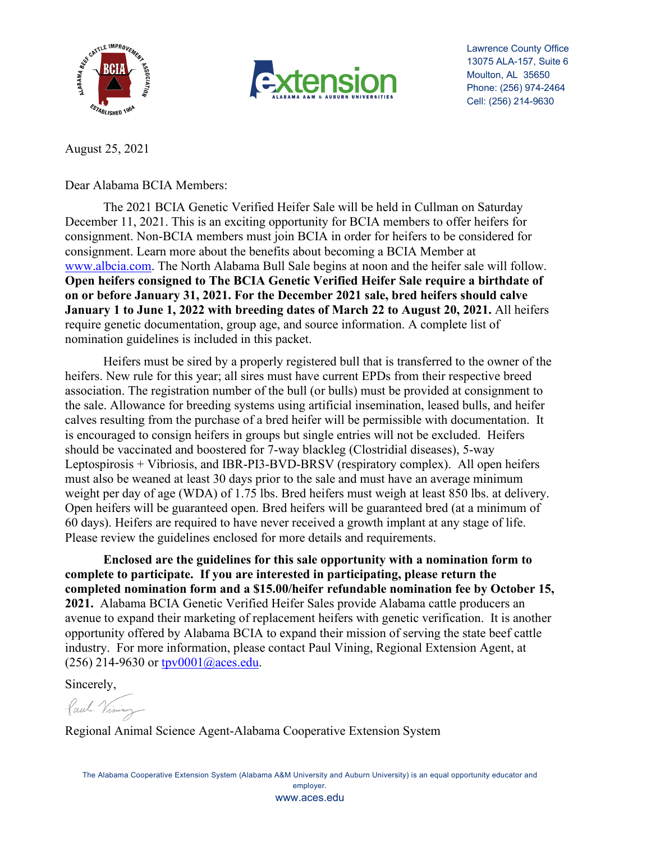



Lawrence County Office 13075 ALA-157, Suite 6 Moulton, AL 35650 Phone: (256) 974-2464 Cell: (256) 214-9630

August 25, 2021

Dear Alabama BCIA Members:

The 2021 BCIA Genetic Verified Heifer Sale will be held in Cullman on Saturday December 11, 2021. This is an exciting opportunity for BCIA members to offer heifers for consignment. Non-BCIA members must join BCIA in order for heifers to be considered for consignment. Learn more about the benefits about becoming a BCIA Member at [www.albcia.com.](http://www.albcia.com/) The North Alabama Bull Sale begins at noon and the heifer sale will follow. **Open heifers consigned to The BCIA Genetic Verified Heifer Sale require a birthdate of on or before January 31, 2021. For the December 2021 sale, bred heifers should calve January 1 to June 1, 2022 with breeding dates of March 22 to August 20, 2021.** All heifers require genetic documentation, group age, and source information. A complete list of nomination guidelines is included in this packet.

Heifers must be sired by a properly registered bull that is transferred to the owner of the heifers. New rule for this year; all sires must have current EPDs from their respective breed association. The registration number of the bull (or bulls) must be provided at consignment to the sale. Allowance for breeding systems using artificial insemination, leased bulls, and heifer calves resulting from the purchase of a bred heifer will be permissible with documentation. It is encouraged to consign heifers in groups but single entries will not be excluded. Heifers should be vaccinated and boostered for 7-way blackleg (Clostridial diseases), 5-way Leptospirosis + Vibriosis, and IBR-PI3-BVD-BRSV (respiratory complex). All open heifers must also be weaned at least 30 days prior to the sale and must have an average minimum weight per day of age (WDA) of 1.75 lbs. Bred heifers must weigh at least 850 lbs. at delivery. Open heifers will be guaranteed open. Bred heifers will be guaranteed bred (at a minimum of 60 days). Heifers are required to have never received a growth implant at any stage of life. Please review the guidelines enclosed for more details and requirements.

**Enclosed are the guidelines for this sale opportunity with a nomination form to complete to participate. If you are interested in participating, please return the completed nomination form and a \$15.00/heifer refundable nomination fee by October 15, 2021.** Alabama BCIA Genetic Verified Heifer Sales provide Alabama cattle producers an avenue to expand their marketing of replacement heifers with genetic verification. It is another opportunity offered by Alabama BCIA to expand their mission of serving the state beef cattle industry. For more information, please contact Paul Vining, Regional Extension Agent, at (256) 214-9630 or [tpv0001@aces.edu.](mailto:tpv0001@aces.edu)

Sincerely,

Paul Vining

Regional Animal Science Agent-Alabama Cooperative Extension System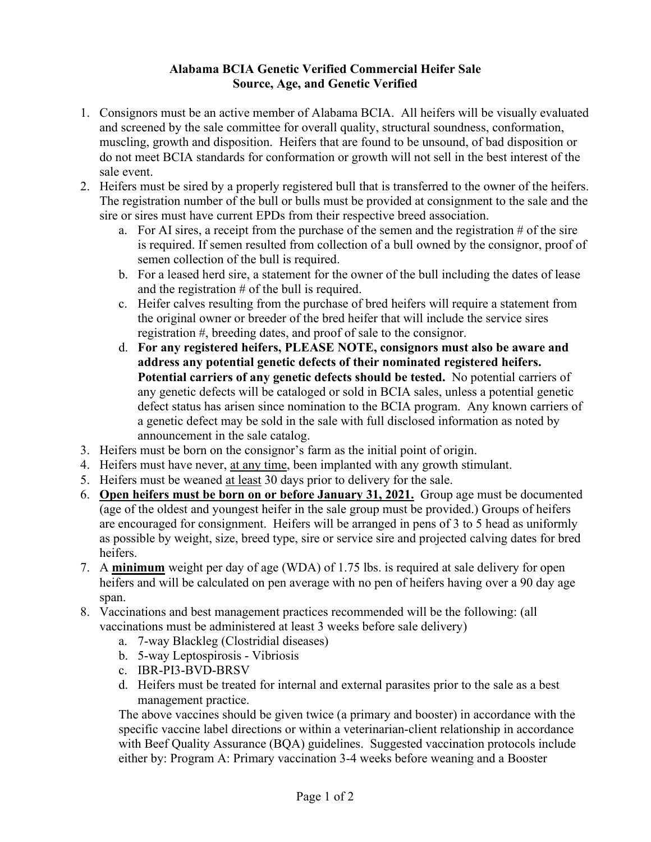### **Alabama BCIA Genetic Verified Commercial Heifer Sale Source, Age, and Genetic Verified**

- 1. Consignors must be an active member of Alabama BCIA. All heifers will be visually evaluated and screened by the sale committee for overall quality, structural soundness, conformation, muscling, growth and disposition. Heifers that are found to be unsound, of bad disposition or do not meet BCIA standards for conformation or growth will not sell in the best interest of the sale event.
- 2. Heifers must be sired by a properly registered bull that is transferred to the owner of the heifers. The registration number of the bull or bulls must be provided at consignment to the sale and the sire or sires must have current EPDs from their respective breed association.
	- a. For AI sires, a receipt from the purchase of the semen and the registration  $\#$  of the sire is required. If semen resulted from collection of a bull owned by the consignor, proof of semen collection of the bull is required.
	- b. For a leased herd sire, a statement for the owner of the bull including the dates of lease and the registration  $#$  of the bull is required.
	- c. Heifer calves resulting from the purchase of bred heifers will require a statement from the original owner or breeder of the bred heifer that will include the service sires registration #, breeding dates, and proof of sale to the consignor.
	- d. **For any registered heifers, PLEASE NOTE, consignors must also be aware and address any potential genetic defects of their nominated registered heifers. Potential carriers of any genetic defects should be tested.** No potential carriers of any genetic defects will be cataloged or sold in BCIA sales, unless a potential genetic defect status has arisen since nomination to the BCIA program. Any known carriers of a genetic defect may be sold in the sale with full disclosed information as noted by announcement in the sale catalog.
- 3. Heifers must be born on the consignor's farm as the initial point of origin.
- 4. Heifers must have never, at any time, been implanted with any growth stimulant.
- 5. Heifers must be weaned at least 30 days prior to delivery for the sale.
- 6. **Open heifers must be born on or before January 31, 2021.** Group age must be documented (age of the oldest and youngest heifer in the sale group must be provided.) Groups of heifers are encouraged for consignment. Heifers will be arranged in pens of 3 to 5 head as uniformly as possible by weight, size, breed type, sire or service sire and projected calving dates for bred heifers.
- 7. A **minimum** weight per day of age (WDA) of 1.75 lbs. is required at sale delivery for open heifers and will be calculated on pen average with no pen of heifers having over a 90 day age span.
- 8. Vaccinations and best management practices recommended will be the following: (all vaccinations must be administered at least 3 weeks before sale delivery)
	- a. 7-way Blackleg (Clostridial diseases)
	- b. 5-way Leptospirosis Vibriosis
	- c. IBR-PI3-BVD-BRSV
	- d. Heifers must be treated for internal and external parasites prior to the sale as a best management practice.

The above vaccines should be given twice (a primary and booster) in accordance with the specific vaccine label directions or within a veterinarian-client relationship in accordance with Beef Quality Assurance (BQA) guidelines. Suggested vaccination protocols include either by: Program A: Primary vaccination 3-4 weeks before weaning and a Booster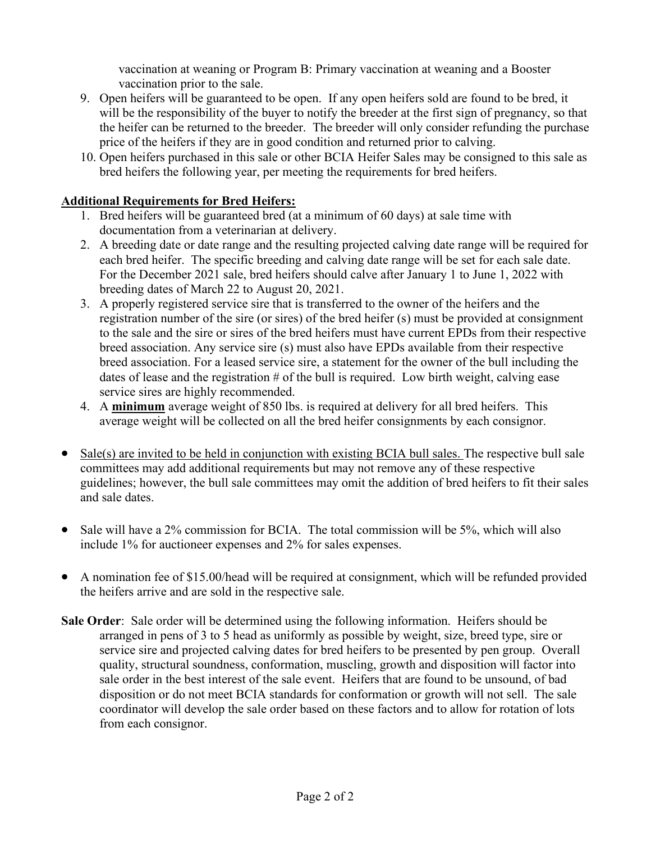vaccination at weaning or Program B: Primary vaccination at weaning and a Booster vaccination prior to the sale.

- 9. Open heifers will be guaranteed to be open. If any open heifers sold are found to be bred, it will be the responsibility of the buyer to notify the breeder at the first sign of pregnancy, so that the heifer can be returned to the breeder. The breeder will only consider refunding the purchase price of the heifers if they are in good condition and returned prior to calving.
- 10. Open heifers purchased in this sale or other BCIA Heifer Sales may be consigned to this sale as bred heifers the following year, per meeting the requirements for bred heifers.

### **Additional Requirements for Bred Heifers:**

- 1. Bred heifers will be guaranteed bred (at a minimum of 60 days) at sale time with documentation from a veterinarian at delivery.
- 2. A breeding date or date range and the resulting projected calving date range will be required for each bred heifer. The specific breeding and calving date range will be set for each sale date. For the December 2021 sale, bred heifers should calve after January 1 to June 1, 2022 with breeding dates of March 22 to August 20, 2021.
- 3. A properly registered service sire that is transferred to the owner of the heifers and the registration number of the sire (or sires) of the bred heifer (s) must be provided at consignment to the sale and the sire or sires of the bred heifers must have current EPDs from their respective breed association. Any service sire (s) must also have EPDs available from their respective breed association. For a leased service sire, a statement for the owner of the bull including the dates of lease and the registration  $#$  of the bull is required. Low birth weight, calving ease service sires are highly recommended.
- 4. A **minimum** average weight of 850 lbs. is required at delivery for all bred heifers. This average weight will be collected on all the bred heifer consignments by each consignor.
- Sale(s) are invited to be held in conjunction with existing BCIA bull sales. The respective bull sale committees may add additional requirements but may not remove any of these respective guidelines; however, the bull sale committees may omit the addition of bred heifers to fit their sales and sale dates.
- Sale will have a 2% commission for BCIA. The total commission will be 5%, which will also include 1% for auctioneer expenses and 2% for sales expenses.
- A nomination fee of \$15.00/head will be required at consignment, which will be refunded provided the heifers arrive and are sold in the respective sale.
- **Sale Order**: Sale order will be determined using the following information. Heifers should be arranged in pens of 3 to 5 head as uniformly as possible by weight, size, breed type, sire or service sire and projected calving dates for bred heifers to be presented by pen group. Overall quality, structural soundness, conformation, muscling, growth and disposition will factor into sale order in the best interest of the sale event. Heifers that are found to be unsound, of bad disposition or do not meet BCIA standards for conformation or growth will not sell. The sale coordinator will develop the sale order based on these factors and to allow for rotation of lots from each consignor.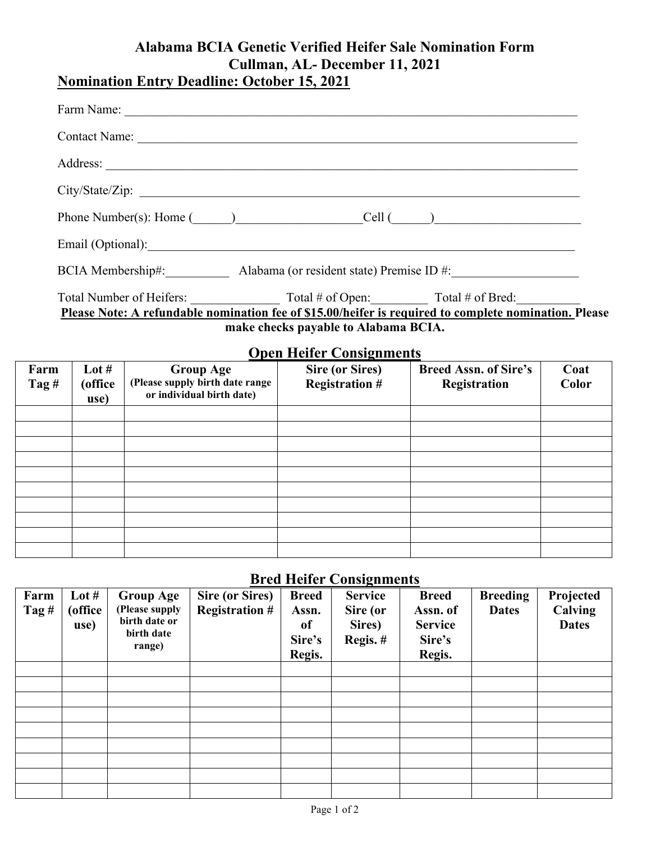## **Alabama BCIA Genetic Verified Heifer Sale Nomination Form Cullman, AL- December 11, 2021 Nomination Entry Deadline: October 15, 2021**

| Phone Number(s): Home $(\_\_\_\_\_$                                                                   |                                 |           |                                   |  |  |                                         |      |  |
|-------------------------------------------------------------------------------------------------------|---------------------------------|-----------|-----------------------------------|--|--|-----------------------------------------|------|--|
|                                                                                                       |                                 |           |                                   |  |  | Email (Optional):                       |      |  |
| BCIA Membership#: Alabama (or resident state) Premise ID #:                                           |                                 |           |                                   |  |  |                                         |      |  |
| Please Note: A refundable nomination fee of \$15.00/heifer is required to complete nomination. Please |                                 |           |                                   |  |  |                                         |      |  |
| make checks payable to Alabama BCIA.                                                                  |                                 |           |                                   |  |  |                                         |      |  |
|                                                                                                       | <b>Open Heifer Consignments</b> |           |                                   |  |  |                                         |      |  |
| rm.                                                                                                   | Lot #                           | Group Age | <b>Contract Contract Contract</b> |  |  | Sire (or Sires)   Breed Assn. of Sire's | Coat |  |

| Farm<br>Tag $#$ | Lot $#$<br>(office<br>use) | <b>Group Age</b><br>(Please supply birth date range<br>or individual birth date) | <b>Sire (or Sires)</b><br><b>Registration #</b> | <b>Breed Assn. of Sire's</b><br>Registration | Coat<br><b>Color</b> |
|-----------------|----------------------------|----------------------------------------------------------------------------------|-------------------------------------------------|----------------------------------------------|----------------------|
|                 |                            |                                                                                  |                                                 |                                              |                      |
|                 |                            |                                                                                  |                                                 |                                              |                      |
|                 |                            |                                                                                  |                                                 |                                              |                      |
|                 |                            |                                                                                  |                                                 |                                              |                      |
|                 |                            |                                                                                  |                                                 |                                              |                      |
|                 |                            |                                                                                  |                                                 |                                              |                      |
|                 |                            |                                                                                  |                                                 |                                              |                      |
|                 |                            |                                                                                  |                                                 |                                              |                      |
|                 |                            |                                                                                  |                                                 |                                              |                      |
|                 |                            |                                                                                  |                                                 |                                              |                      |

# **Bred Heifer Consignments**

| Farm<br>Tag $#$ | Lot $#$<br>(office)<br>use) | <b>Group Age</b><br>(Please supply<br>birth date or<br>birth date<br>range) | <b>Sire (or Sires)</b><br><b>Registration #</b> | <b>Breed</b><br>Assn.<br>of<br>Sire's<br>Regis. | <b>Service</b><br>Sire (or<br>Sires)<br>Regis.# | <b>Breed</b><br>Assn. of<br><b>Service</b><br>Sire's<br>Regis. | <b>Breeding</b><br><b>Dates</b> | Projected<br>Calving<br><b>Dates</b> |
|-----------------|-----------------------------|-----------------------------------------------------------------------------|-------------------------------------------------|-------------------------------------------------|-------------------------------------------------|----------------------------------------------------------------|---------------------------------|--------------------------------------|
|                 |                             |                                                                             |                                                 |                                                 |                                                 |                                                                |                                 |                                      |
|                 |                             |                                                                             |                                                 |                                                 |                                                 |                                                                |                                 |                                      |
|                 |                             |                                                                             |                                                 |                                                 |                                                 |                                                                |                                 |                                      |
|                 |                             |                                                                             |                                                 |                                                 |                                                 |                                                                |                                 |                                      |
|                 |                             |                                                                             |                                                 |                                                 |                                                 |                                                                |                                 |                                      |
|                 |                             |                                                                             |                                                 |                                                 |                                                 |                                                                |                                 |                                      |
|                 |                             |                                                                             |                                                 |                                                 |                                                 |                                                                |                                 |                                      |
|                 |                             |                                                                             |                                                 |                                                 |                                                 |                                                                |                                 |                                      |
|                 |                             |                                                                             |                                                 |                                                 |                                                 |                                                                |                                 |                                      |